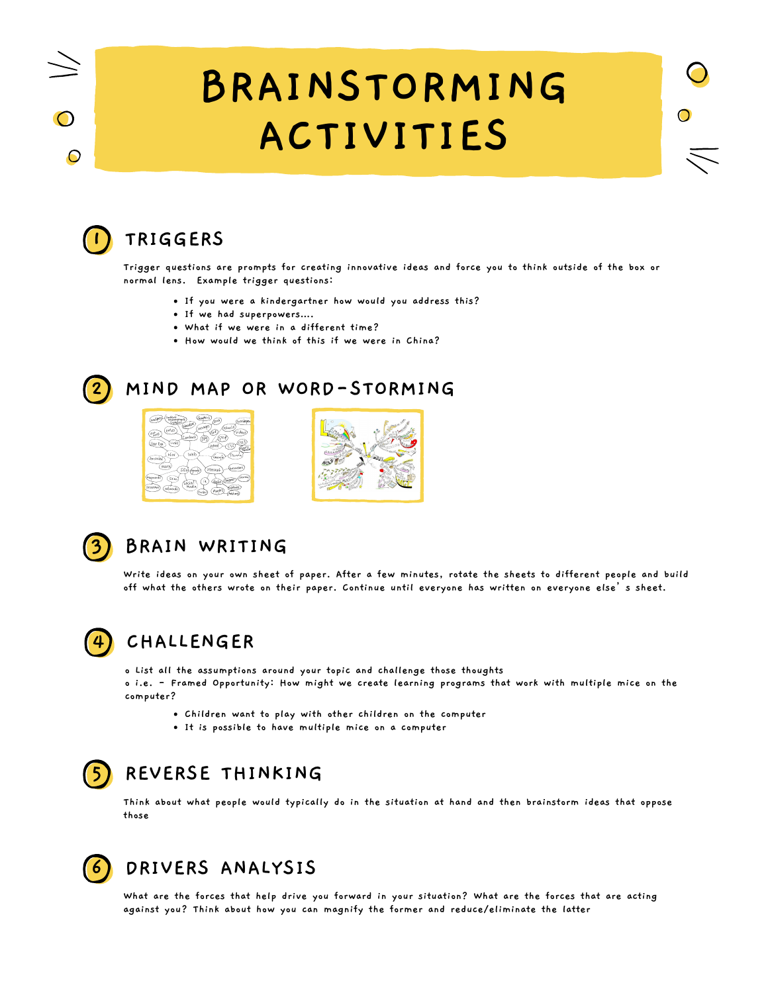# **BRAINSTORMING ACTIVITIES**

 $\bullet$ 



 $\mathbf \Theta$ 

# **1 TRIGGERS**

Trigger questions are prompts for creating innovative ideas and force you to think outside of the box or **normal lens. Example trigger questions:**

- **If you were a kindergartner how would you address this?**
- **If we had superpowers**…**.**
- **What if we were in a different time?**
- **How would we think of this if we were in China?**



#### **2 MIND MAP OR WORD-STORMING**







#### **3 BRAIN WRITING**

Write ideas on your own sheet of paper. After a few minutes, rotate the sheets to different people and build **off what the others wrote on their paper. Continue until everyone has written on everyone else's sheet.**



#### **4 CHALLENGER**

**o List all the assumptions around your topic and challenge those thoughts**

o i.e. - Framed Opportunity: How might we create learning programs that work with multiple mice on the **computer?**

- **Children want to play with other children on the computer**
- **It is possible to have multiple mice on a computer**

# **5 REVERSE THINKING**

Think about what people would typically do in the situation at hand and then brainstorm ideas that oppose **those**

## **6 DRIVERS ANALYSIS**

What are the forces that help drive you forward in your situation? What are the forces that are acting **against you? Think about how you can magnify the former and reduce/eliminate the latter**